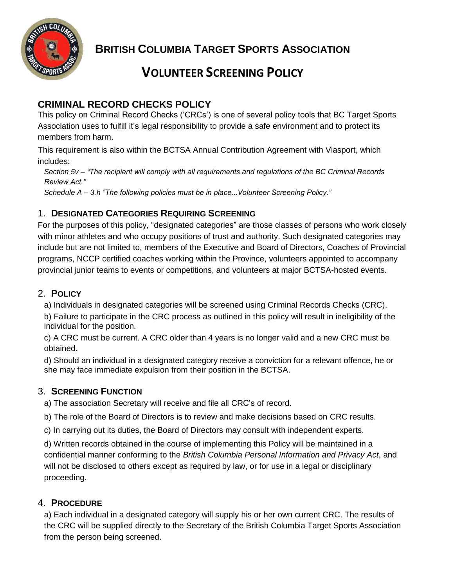

**BRITISH COLUMBIA TARGET SPORTS ASSOCIATION**

# **VOLUNTEER SCREENING POLICY**

## **CRIMINAL RECORD CHECKS POLICY**

This policy on Criminal Record Checks ('CRCs') is one of several policy tools that BC Target Sports Association uses to fulfill it's legal responsibility to provide a safe environment and to protect its members from harm.

This requirement is also within the BCTSA Annual Contribution Agreement with Viasport, which includes:

*Section 5v – "The recipient will comply with all requirements and regulations of the BC Criminal Records Review Act."*

*Schedule A – 3.h "The following policies must be in place...Volunteer Screening Policy."*

### 1. **DESIGNATED CATEGORIES REQUIRING SCREENING**

For the purposes of this policy, "designated categories" are those classes of persons who work closely with minor athletes and who occupy positions of trust and authority. Such designated categories may include but are not limited to, members of the Executive and Board of Directors, Coaches of Provincial programs, NCCP certified coaches working within the Province, volunteers appointed to accompany provincial junior teams to events or competitions, and volunteers at major BCTSA-hosted events.

#### 2. **POLICY**

a) Individuals in designated categories will be screened using Criminal Records Checks (CRC).

b) Failure to participate in the CRC process as outlined in this policy will result in ineligibility of the individual for the position.

c) A CRC must be current. A CRC older than 4 years is no longer valid and a new CRC must be obtained.

d) Should an individual in a designated category receive a conviction for a relevant offence, he or she may face immediate expulsion from their position in the BCTSA.

#### 3. **SCREENING FUNCTION**

a) The association Secretary will receive and file all CRC's of record.

b) The role of the Board of Directors is to review and make decisions based on CRC results.

c) In carrying out its duties, the Board of Directors may consult with independent experts.

d) Written records obtained in the course of implementing this Policy will be maintained in a confidential manner conforming to the *British Columbia Personal Information and Privacy Act*, and will not be disclosed to others except as required by law, or for use in a legal or disciplinary proceeding.

#### 4. **PROCEDURE**

a) Each individual in a designated category will supply his or her own current CRC. The results of the CRC will be supplied directly to the Secretary of the British Columbia Target Sports Association from the person being screened.